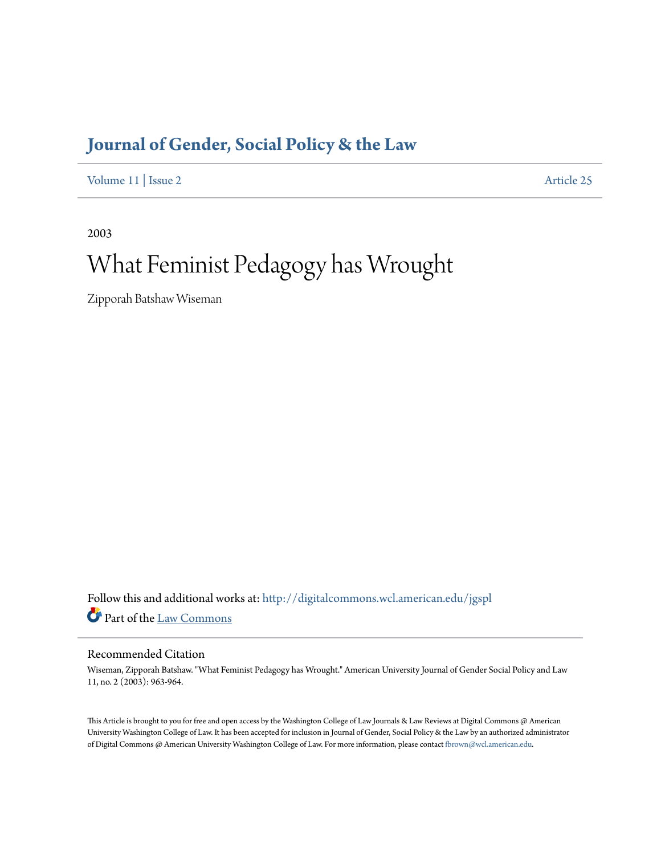## **[Journal of Gender, Social Policy & the Law](http://digitalcommons.wcl.american.edu/jgspl?utm_source=digitalcommons.wcl.american.edu%2Fjgspl%2Fvol11%2Fiss2%2F25&utm_medium=PDF&utm_campaign=PDFCoverPages)**

[Volume 11](http://digitalcommons.wcl.american.edu/jgspl/vol11?utm_source=digitalcommons.wcl.american.edu%2Fjgspl%2Fvol11%2Fiss2%2F25&utm_medium=PDF&utm_campaign=PDFCoverPages) | [Issue 2](http://digitalcommons.wcl.american.edu/jgspl/vol11/iss2?utm_source=digitalcommons.wcl.american.edu%2Fjgspl%2Fvol11%2Fiss2%2F25&utm_medium=PDF&utm_campaign=PDFCoverPages) [Article 25](http://digitalcommons.wcl.american.edu/jgspl/vol11/iss2/25?utm_source=digitalcommons.wcl.american.edu%2Fjgspl%2Fvol11%2Fiss2%2F25&utm_medium=PDF&utm_campaign=PDFCoverPages)

2003

# What Feminist Pedagogy has Wrought

Zipporah Batshaw Wiseman

Follow this and additional works at: [http://digitalcommons.wcl.american.edu/jgspl](http://digitalcommons.wcl.american.edu/jgspl?utm_source=digitalcommons.wcl.american.edu%2Fjgspl%2Fvol11%2Fiss2%2F25&utm_medium=PDF&utm_campaign=PDFCoverPages) Part of the [Law Commons](http://network.bepress.com/hgg/discipline/578?utm_source=digitalcommons.wcl.american.edu%2Fjgspl%2Fvol11%2Fiss2%2F25&utm_medium=PDF&utm_campaign=PDFCoverPages)

### Recommended Citation

Wiseman, Zipporah Batshaw. "What Feminist Pedagogy has Wrought." American University Journal of Gender Social Policy and Law 11, no. 2 (2003): 963-964.

This Article is brought to you for free and open access by the Washington College of Law Journals & Law Reviews at Digital Commons @ American University Washington College of Law. It has been accepted for inclusion in Journal of Gender, Social Policy & the Law by an authorized administrator of Digital Commons @ American University Washington College of Law. For more information, please contact [fbrown@wcl.american.edu.](mailto:fbrown@wcl.american.edu)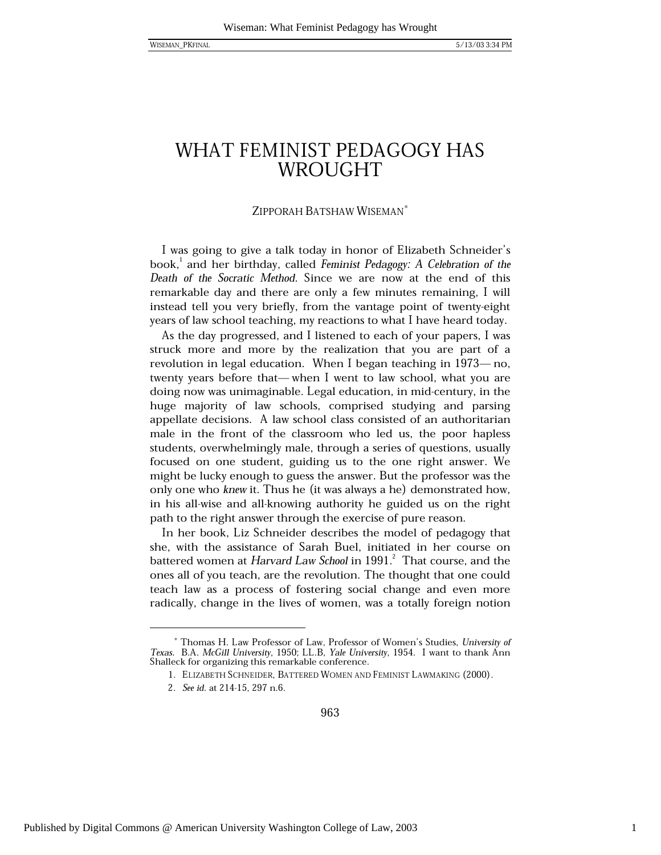**WISEMAN PKFINAI** 

## WHAT FEMINIST PEDAGOGY HAS WROUGHT

### ZIPPORAH BATSHAW WISEMAN<sup>\*</sup>

I was going to give a talk today in honor of Elizabeth Schneider's book, and her birthday, called Feminist Pedagogy: A Celebration of the Death of the Socratic Method. Since we are now at the end of this remarkable day and there are only a few minutes remaining, I will instead tell you very briefly, from the vantage point of twenty-eight years of law school teaching, my reactions to what I have heard today.

As the day progressed, and I listened to each of your papers, I was struck more and more by the realization that you are part of a revolution in legal education. When I began teaching in 1973—no, twenty years before that—when I went to law school, what you are doing now was unimaginable. Legal education, in mid-century, in the huge majority of law schools, comprised studying and parsing appellate decisions. A law school class consisted of an authoritarian male in the front of the classroom who led us, the poor hapless students, overwhelmingly male, through a series of questions, usually focused on one student, guiding us to the one right answer. We might be lucky enough to guess the answer. But the professor was the only one who knew it. Thus he (it was always a he) demonstrated how, in his all-wise and all-knowing authority he guided us on the right path to the right answer through the exercise of pure reason.

In her book, Liz Schneider describes the model of pedagogy that she, with the assistance of Sarah Buel, initiated in her course on battered women at *Harvard Law School* in 1991.<sup>2</sup> That course, and the ones all of you teach, are the revolution. The thought that one could teach law as a process of fostering social change and even more radically, change in the lives of women, was a totally foreign notion

963

Thomas H. Law Professor of Law, Professor of Women's Studies, University of Texas. B.A. McGill University, 1950; LL.B, Yale University, 1954. I want to thank Ann Shalleck for organizing this remarkable conference.

<sup>1.</sup> ELIZABETH SCHNEIDER, BATTERED WOMEN AND FEMINIST LAWMAKING (2000).

<sup>2.</sup> See id. at 214-15, 297 n.6.